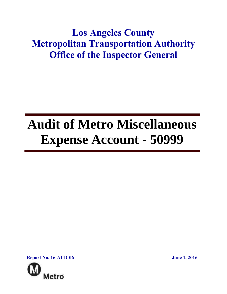# **Los Angeles County Metropolitan Transportation Authority Office of the Inspector General**

# **Audit of Metro Miscellaneous Expense Account - 50999**

**Report No. 16-AUD-06 June 1, 2016**

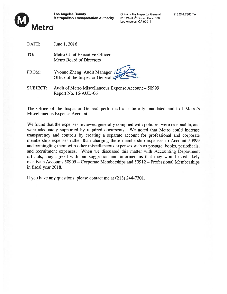

Los Angeles County **Connect County** Office of the Inspector General 213.244.7300 Tel<br> **Metropolitan Transportation Authority** 818 West 7<sup>th</sup> Street, Suite 500 Metropolitan Transportation Authority

Los Angeles, CA 90017

TO: Metro Chief Executive Officer Metro Board of Directors

- FROM: Yvonne Zheng, Audit Manager  $d$ Office of the Inspector General  $\sigma$
- SUBJECT: Audit of Metro Miscellaneous Expense Account 50999 Report No. 16-AUD-06

The Office of the Inspector General performed <sup>a</sup> statutorily mandated audit of Metro's Miscellaneous Expense Account.

We found that the expenses reviewed generally complied with policies, were reasonable, and were adequately supported by required documents. We noted that Metro could increase transparency and controls by creating <sup>a</sup> separate account for professional and corporate membership expenses rather than charging these membership expenses to Account 50999 and comingling them with other miscellaneous expenses such as postage, books, periodicals, and recruitment expenses. When we discussed this matter with Accounting Department officials, they agreed with our suggestion and informed us that they would most likely reactivate Accounts 50905 — Corporate Memberships and 50912 — Professional Memberships in fiscal year 2018.

If you have any questions, please contact me at (213) 244-7301.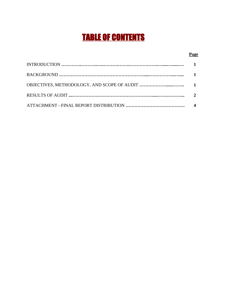# TABLE OF CONTENTS

#### **Page**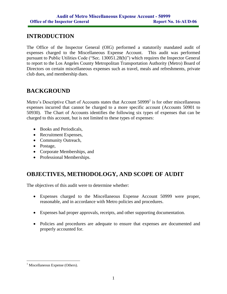# **INTRODUCTION**

The Office of the Inspector General (OIG) performed a statutorily mandated audit of expenses charged to the Miscellaneous Expense Account. This audit was performed pursuant to Public Utilities Code ("Sec. 130051.28(b)") which requires the Inspector General to report to the Los Angeles County Metropolitan Transportation Authority (Metro) Board of Directors on certain miscellaneous expenses such as travel, meals and refreshments, private club dues, and membership dues.

## **BACKGROUND**

Metro's Descriptive Chart of Accounts states that Account 50999<sup>1</sup> is for other miscellaneous expenses incurred that cannot be charged to a more specific account (Accounts 50901 to 50930). The Chart of Accounts identifies the following six types of expenses that can be charged to this account, but is not limited to these types of expenses:

- Books and Periodicals.
- Recruitment Expenses,
- Community Outreach,
- Postage,
- Corporate Memberships, and
- Professional Memberships.

# **OBJECTIVES, METHODOLOGY, AND SCOPE OF AUDIT**

The objectives of this audit were to determine whether:

- Expenses charged to the Miscellaneous Expense Account 50999 were proper, reasonable, and in accordance with Metro policies and procedures.
- Expenses had proper approvals, receipts, and other supporting documentation.
- Policies and procedures are adequate to ensure that expenses are documented and properly accounted for.

 $<sup>1</sup>$  Miscellaneous Expense (Others).</sup>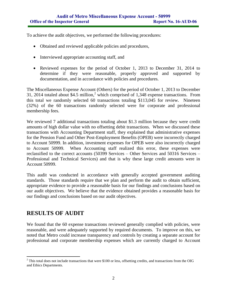To achieve the audit objectives, we performed the following procedures:

- Obtained and reviewed applicable policies and procedures,
- Interviewed appropriate accounting staff, and
- Reviewed expenses for the period of October 1, 2013 to December 31, 2014 to determine if they were reasonable, properly approved and supported by documentation, and in accordance with policies and procedures.

The Miscellaneous Expense Account (Others) for the period of October 1, 2013 to December 31, 2014 totaled about \$4.5 million,<sup>2</sup> which comprised of 1,348 expense transactions. From this total we randomly selected 60 transactions totaling \$113,045 for review. Nineteen (32%) of the 60 transactions randomly selected were for corporate and professional membership fees.

We reviewed 7 additional transactions totaling about \$1.3 million because they were credit amounts of high dollar value with no offsetting debit transactions. When we discussed these transactions with Accounting Department staff, they explained that administrative expenses for the Pension Fund and Other Post-Employment Benefits (OPEB) were incorrectly charged to Account 50999. In addition, investment expenses for OPEB were also incorrectly charged to Account 50999. When Accounting staff realized this error, these expenses were reclassified to the correct accounts (50399 Services – Other Services and 50316 Services – Professional and Technical Services) and that is why these large credit amounts were in Account 50999.

This audit was conducted in accordance with generally accepted government auditing standards. Those standards require that we plan and perform the audit to obtain sufficient, appropriate evidence to provide a reasonable basis for our findings and conclusions based on our audit objectives. We believe that the evidence obtained provides a reasonable basis for our findings and conclusions based on our audit objectives.

### **RESULTS OF AUDIT**

We found that the 60 expense transactions reviewed generally complied with policies, were reasonable, and were adequately supported by required documents. To improve on this, we noted that Metro could increase transparency and controls by creating a separate account for professional and corporate membership expenses which are currently charged to Account

 $2^2$  This total does not include transactions that were \$100 or less, offsetting credits, and transactions from the OIG and Ethics Departments.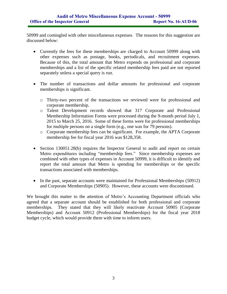50999 and comingled with other miscellaneous expenses. The reasons for this suggestion are discussed below:

- Currently the fees for these memberships are charged to Account 50999 along with other expenses such as postage, books, periodicals, and recruitment expenses. Because of this, the total amount that Metro expends on professional and corporate memberships and a list of the specific related membership fees paid are not reported separately unless a special query is run.
- The number of transactions and dollar amounts for professional and corporate memberships is significant.
	- o Thirty-two percent of the transactions we reviewed were for professional and corporate membership.
	- o Talent Development records showed that 317 Corporate and Professional Membership Information Forms were processed during the 9-month period July 1, 2015 to March 25, 2016. Some of these forms were for professional memberships for multiple persons on a single form (e.g., one was for 79 persons).
	- o Corporate membership fees can be significant. For example, the APTA Corporate membership fee for fiscal year 2016 was \$128,358.
- Section 130051.28(b) requires the Inspector General to audit and report on certain Metro expenditures including "membership fees." Since membership expenses are combined with other types of expenses in Account 50999, it is difficult to identify and report the total amount that Metro is spending for memberships or the specific transactions associated with memberships.
- In the past, separate accounts were maintained for Professional Memberships (50912) and Corporate Memberships (50905). However, these accounts were discontinued.

We brought this matter to the attention of Metro's Accounting Department officials who agreed that a separate account should be established for both professional and corporate memberships. They stated that they will likely reactivate Account 50905 (Corporate Memberships) and Account 50912 (Professional Memberships) for the fiscal year 2018 budget cycle, which would provide them with time to inform users.